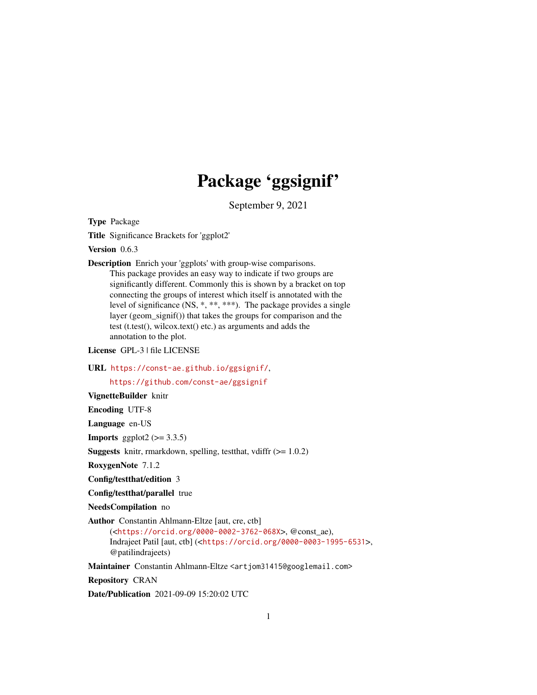## Package 'ggsignif'

September 9, 2021

<span id="page-0-0"></span>Type Package

Title Significance Brackets for 'ggplot2'

Version 0.6.3

Description Enrich your 'ggplots' with group-wise comparisons. This package provides an easy way to indicate if two groups are significantly different. Commonly this is shown by a bracket on top connecting the groups of interest which itself is annotated with the level of significance (NS, \*, \*\*, \*\*\*). The package provides a single layer (geom\_signif()) that takes the groups for comparison and the test (t.test(), wilcox.text() etc.) as arguments and adds the annotation to the plot.

License GPL-3 | file LICENSE

URL <https://const-ae.github.io/ggsignif/>,

<https://github.com/const-ae/ggsignif>

VignetteBuilder knitr

Encoding UTF-8

Language en-US

**Imports** ggplot2  $(>= 3.3.5)$ 

**Suggests** knitr, rmarkdown, spelling, test that, vdiffr  $(>= 1.0.2)$ 

RoxygenNote 7.1.2

Config/testthat/edition 3

Config/testthat/parallel true

NeedsCompilation no

Author Constantin Ahlmann-Eltze [aut, cre, ctb]

(<<https://orcid.org/0000-0002-3762-068X>>, @const\_ae), Indrajeet Patil [aut, ctb] (<<https://orcid.org/0000-0003-1995-6531>>, @patilindrajeets)

Maintainer Constantin Ahlmann-Eltze <artjom31415@googlemail.com>

Repository CRAN

Date/Publication 2021-09-09 15:20:02 UTC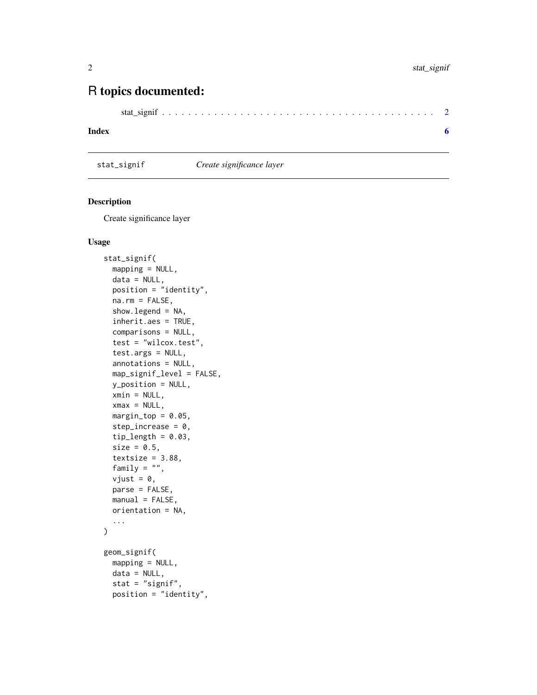### <span id="page-1-0"></span>R topics documented:

```
stat_signif . . . . . . . . . . . . . . . . . . . . . . . . . . . . . . . . . . . . . . . . . . 2
```
#### **Index** [6](#page-5-0) **6**

stat\_signif *Create significance layer*

#### Description

Create significance layer

#### Usage

```
stat_signif(
  mapping = NULL,
  data = NULL,position = "identity",
 na.rm = FALSE,
  show.legend = NA,
  inherit.aes = TRUE,
  comparisons = NULL,
  test = "wilcox.test",
  test.args = NULL,
  annotations = NULL,
 map_signif_level = FALSE,
 y_position = NULL,
  xmin = NULL,
  xmax = NULL,
  margin\_top = 0.05,
  step\_increase = 0,
  tip_length = 0.03,size = 0.5,
  textsize = 3.88,
  family = ",
  vjust = \theta,
 parse = FALSE,
 manual = FALSE,orientation = NA,
  ...
\mathcal{L}geom_signif(
 mapping = NULL,data = NULL,
  stat = "signif",
  position = "identity",
```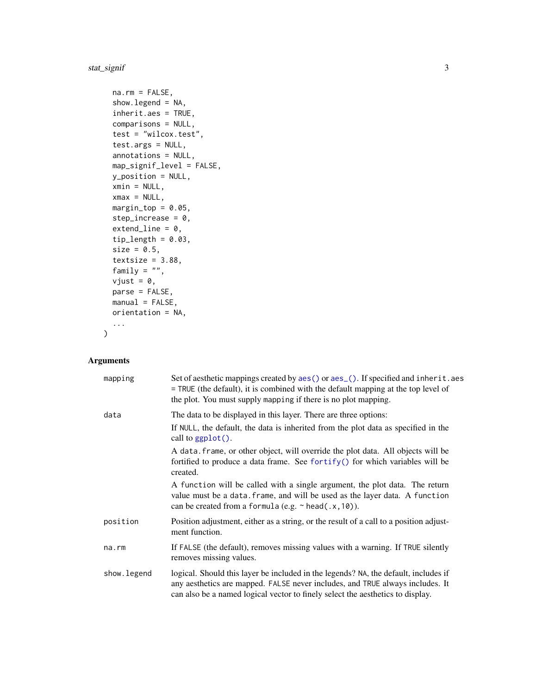#### <span id="page-2-0"></span>stat\_signif 3

```
na.rm = FALSE,show.legend = NA,
inherit.aes = TRUE,
comparisons = NULL,
test = "wilcox.test",
test.args = NULL,
annotations = NULL,
map_signif_level = FALSE,
y_position = NULL,
xmin = NULL,xmax = NULL,margin\_top = 0.05,
step_increase = 0,
extendline = 0,
tip_length = 0.03,size = 0.5,
textsize = 3.88,
family = ",
vjust = 0,
parse = FALSE,
manual = FALSE,orientation = NA,
...
```
#### Arguments

 $\mathcal{L}$ 

| mapping     | Set of aesthetic mappings created by aes() or aes_(). If specified and inherit.aes<br>$=$ TRUE (the default), it is combined with the default mapping at the top level of<br>the plot. You must supply mapping if there is no plot mapping.            |
|-------------|--------------------------------------------------------------------------------------------------------------------------------------------------------------------------------------------------------------------------------------------------------|
| data        | The data to be displayed in this layer. There are three options:                                                                                                                                                                                       |
|             | If NULL, the default, the data is inherited from the plot data as specified in the<br>call to $ggplot()$ .                                                                                                                                             |
|             | A data frame, or other object, will override the plot data. All objects will be<br>fortified to produce a data frame. See fortify() for which variables will be<br>created.                                                                            |
|             | A function will be called with a single argument, the plot data. The return<br>value must be a data. frame, and will be used as the layer data. A function<br>can be created from a formula (e.g. $\sim$ head(.x, 10)).                                |
| position    | Position adjustment, either as a string, or the result of a call to a position adjust-<br>ment function.                                                                                                                                               |
| na.rm       | If FALSE (the default), removes missing values with a warning. If TRUE silently<br>removes missing values.                                                                                                                                             |
| show.legend | logical. Should this layer be included in the legends? NA, the default, includes if<br>any aesthetics are mapped. FALSE never includes, and TRUE always includes. It<br>can also be a named logical vector to finely select the aesthetics to display. |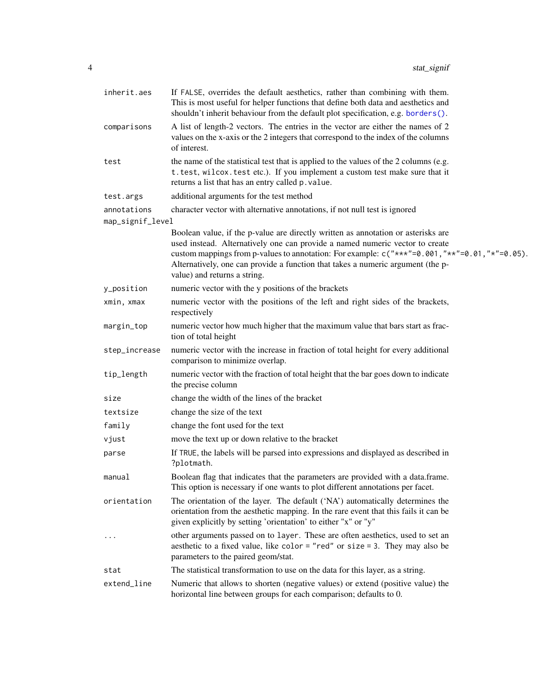<span id="page-3-0"></span>

| inherit.aes      | If FALSE, overrides the default aesthetics, rather than combining with them.<br>This is most useful for helper functions that define both data and aesthetics and<br>shouldn't inherit behaviour from the default plot specification, e.g. borders().                                                                                                                                            |
|------------------|--------------------------------------------------------------------------------------------------------------------------------------------------------------------------------------------------------------------------------------------------------------------------------------------------------------------------------------------------------------------------------------------------|
| comparisons      | A list of length-2 vectors. The entries in the vector are either the names of 2<br>values on the x-axis or the 2 integers that correspond to the index of the columns<br>of interest.                                                                                                                                                                                                            |
| test             | the name of the statistical test that is applied to the values of the 2 columns (e.g.<br>t.test, wilcox.test etc.). If you implement a custom test make sure that it<br>returns a list that has an entry called p. value.                                                                                                                                                                        |
| test.args        | additional arguments for the test method                                                                                                                                                                                                                                                                                                                                                         |
| annotations      | character vector with alternative annotations, if not null test is ignored                                                                                                                                                                                                                                                                                                                       |
| map_signif_level |                                                                                                                                                                                                                                                                                                                                                                                                  |
|                  | Boolean value, if the p-value are directly written as annotation or asterisks are<br>used instead. Alternatively one can provide a named numeric vector to create<br>custom mappings from p-values to annotation: For example: $c("***" = 0.001, "**" = 0.01, "**" = 0.05)$ .<br>Alternatively, one can provide a function that takes a numeric argument (the p-<br>value) and returns a string. |
| y_position       | numeric vector with the y positions of the brackets                                                                                                                                                                                                                                                                                                                                              |
| xmin, xmax       | numeric vector with the positions of the left and right sides of the brackets,<br>respectively                                                                                                                                                                                                                                                                                                   |
| margin_top       | numeric vector how much higher that the maximum value that bars start as frac-<br>tion of total height                                                                                                                                                                                                                                                                                           |
| step_increase    | numeric vector with the increase in fraction of total height for every additional<br>comparison to minimize overlap.                                                                                                                                                                                                                                                                             |
| tip_length       | numeric vector with the fraction of total height that the bar goes down to indicate<br>the precise column                                                                                                                                                                                                                                                                                        |
| size             | change the width of the lines of the bracket                                                                                                                                                                                                                                                                                                                                                     |
| textsize         | change the size of the text                                                                                                                                                                                                                                                                                                                                                                      |
| family           | change the font used for the text                                                                                                                                                                                                                                                                                                                                                                |
| vjust            | move the text up or down relative to the bracket                                                                                                                                                                                                                                                                                                                                                 |
| parse            | If TRUE, the labels will be parsed into expressions and displayed as described in<br>?plotmath.                                                                                                                                                                                                                                                                                                  |
| manual           | Boolean flag that indicates that the parameters are provided with a data.frame.<br>This option is necessary if one wants to plot different annotations per facet.                                                                                                                                                                                                                                |
| orientation      | The orientation of the layer. The default ('NA') automatically determines the<br>orientation from the aesthetic mapping. In the rare event that this fails it can be<br>given explicitly by setting 'orientation' to either "x" or "y"                                                                                                                                                           |
| $\cdots$         | other arguments passed on to layer. These are often aesthetics, used to set an<br>aesthetic to a fixed value, like color = "red" or size = 3. They may also be<br>parameters to the paired geom/stat.                                                                                                                                                                                            |
| stat             | The statistical transformation to use on the data for this layer, as a string.                                                                                                                                                                                                                                                                                                                   |
| extend_line      | Numeric that allows to shorten (negative values) or extend (positive value) the<br>horizontal line between groups for each comparison; defaults to 0.                                                                                                                                                                                                                                            |
|                  |                                                                                                                                                                                                                                                                                                                                                                                                  |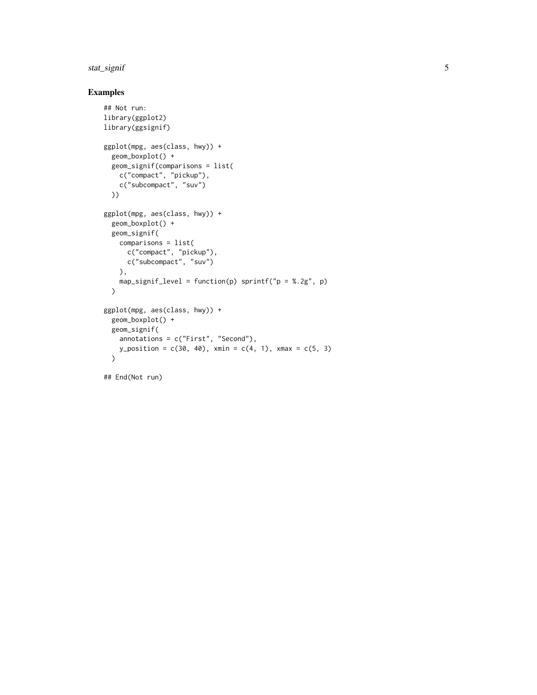#### stat\_signif 5

#### Examples

```
## Not run:
library(ggplot2)
library(ggsignif)
ggplot(mpg, aes(class, hwy)) +
  geom_boxplot() +
  geom_signif(comparisons = list(
    c("compact", "pickup"),
    c("subcompact", "suv")
  ))
ggplot(mpg, aes(class, hwy)) +
  geom_boxplot() +
  geom_signif(
    comparisons = list(
      c("compact", "pickup"),
      c("subcompact", "suv")
    ),
    map_signif_level = function(p) sprintf("p = %.2g", p)
  )
ggplot(mpg, aes(class, hwy)) +
  geom_boxplot() +
  geom_signif(
    annotations = c("First", "Second"),
    y_{\text{position}} = c(30, 40), \text{ xmin} = c(4, 1), \text{ xmax} = c(5, 3))
## End(Not run)
```